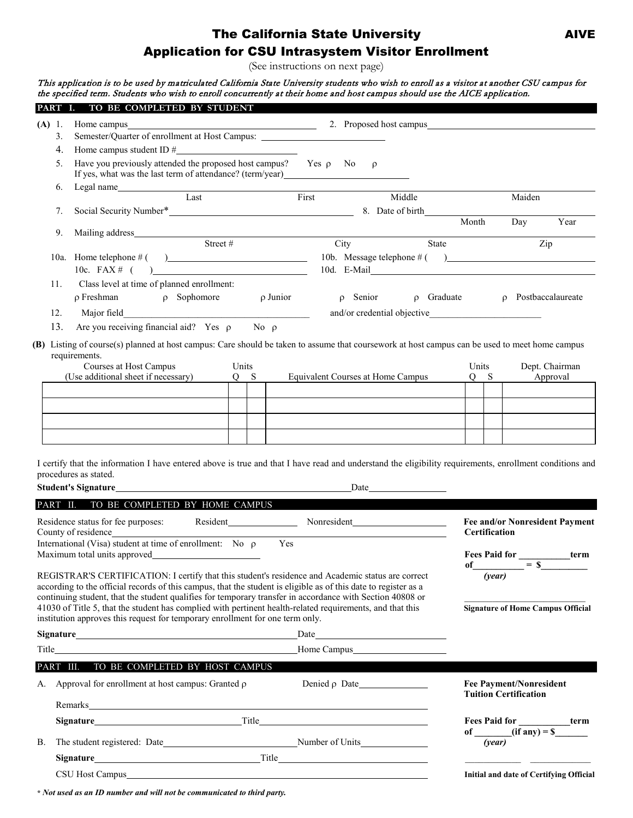# The California State University **AIVE** Application for CSU Intrasystem Visitor Enrollment

(See instructions on next page)

This application is to be used by matriculated California State University students who wish to enroll as a visitor at another CSU campus for the specified term. Students who wish to enroll concurrently at their home and host campus should use the AICE application.

| PART I. |      | TO BE COMPLETED BY STUDENT                                                                                                                                |                                                                                                                                                                                                                               |                    |          |                   |      |
|---------|------|-----------------------------------------------------------------------------------------------------------------------------------------------------------|-------------------------------------------------------------------------------------------------------------------------------------------------------------------------------------------------------------------------------|--------------------|----------|-------------------|------|
| (A)     | -1.  | Home campus <b>Example 2018</b>                                                                                                                           | 2. Proposed host campus 2. Proposed host campus                                                                                                                                                                               |                    |          |                   |      |
|         | 3.   | Semester/Quarter of enrollment at Host Campus: _________________________________                                                                          |                                                                                                                                                                                                                               |                    |          |                   |      |
|         | 4.   |                                                                                                                                                           |                                                                                                                                                                                                                               |                    |          |                   |      |
|         | 5.   | Have you previously attended the proposed host campus? Yes $\rho$ No<br>If yes, what was the last term of attendance? (term/year)________________________ | $\rho$                                                                                                                                                                                                                        |                    |          |                   |      |
|         | 6.   | Legal name                                                                                                                                                |                                                                                                                                                                                                                               |                    |          |                   |      |
|         |      | Last                                                                                                                                                      | First                                                                                                                                                                                                                         | Middle             |          | Maiden            |      |
|         | 7.   |                                                                                                                                                           |                                                                                                                                                                                                                               | 8. Date of birth   |          |                   |      |
|         |      |                                                                                                                                                           |                                                                                                                                                                                                                               |                    | Month    | Day               | Year |
|         | 9.   | Street #                                                                                                                                                  |                                                                                                                                                                                                                               | <b>State</b>       |          |                   |      |
|         |      |                                                                                                                                                           | City                                                                                                                                                                                                                          |                    |          | Zip               |      |
|         | 10a. |                                                                                                                                                           |                                                                                                                                                                                                                               |                    |          |                   |      |
|         |      | 10c. FAX $\#$ (<br>$\overline{a}$                                                                                                                         | 10d. E-Mail et al. 2010 and 2010 and 2010 and 2010 and 2010 and 2010 and 2010 and 2010 and 2010 and 2010 and 2010 and 2010 and 2010 and 2010 and 2010 and 2010 and 2010 and 2010 and 2010 and 2010 and 2010 and 2010 and 2010 |                    |          |                   |      |
|         | 11.  | Class level at time of planned enrollment:                                                                                                                |                                                                                                                                                                                                                               |                    |          |                   |      |
|         |      | $\rho$ Junior<br>$\rho$ Freshman $\rho$ Sophomore                                                                                                         | Senior<br>$\Omega$                                                                                                                                                                                                            | Graduate<br>$\rho$ | $\Omega$ | Postbaccalaureate |      |
|         | 12.  |                                                                                                                                                           |                                                                                                                                                                                                                               |                    |          |                   |      |
|         | 13.  | Are you receiving financial aid? Yes $\rho$<br>No $\rho$                                                                                                  |                                                                                                                                                                                                                               |                    |          |                   |      |
|         |      | (B) Listing of course(s) planned at host campus: Care should be taken to assume that coursework at host campus can be used to meet home campus            |                                                                                                                                                                                                                               |                    |          |                   |      |
|         |      | requirements.                                                                                                                                             |                                                                                                                                                                                                                               |                    |          |                   |      |
|         |      | Courses at Host Campus<br>Units                                                                                                                           |                                                                                                                                                                                                                               |                    | Units    | Dept. Chairman    |      |
|         |      | (Use additional sheet if necessary)<br>$Q$ S                                                                                                              | Equivalent Courses at Home Campus                                                                                                                                                                                             |                    | $Q$ S    | Approval          |      |

| (Use additional sheet if necessary) |  | Equivalent Courses at Home Campus |  | Approval |
|-------------------------------------|--|-----------------------------------|--|----------|
|                                     |  |                                   |  |          |
|                                     |  |                                   |  |          |
|                                     |  |                                   |  |          |
|                                     |  |                                   |  |          |

I certify that the information I have entered above is true and that I have read and understand the eligibility requirements, enrollment conditions and procedures as stated.

|                                                                                                                                                                                                                                      |                                                           | Date                                                                                                                                                                                                                                                                                                                                                                                                                                            |                                                                                      |
|--------------------------------------------------------------------------------------------------------------------------------------------------------------------------------------------------------------------------------------|-----------------------------------------------------------|-------------------------------------------------------------------------------------------------------------------------------------------------------------------------------------------------------------------------------------------------------------------------------------------------------------------------------------------------------------------------------------------------------------------------------------------------|--------------------------------------------------------------------------------------|
| PART II. TO BE COMPLETED BY HOME CAMPUS                                                                                                                                                                                              |                                                           |                                                                                                                                                                                                                                                                                                                                                                                                                                                 |                                                                                      |
|                                                                                                                                                                                                                                      |                                                           |                                                                                                                                                                                                                                                                                                                                                                                                                                                 | <b>Fee and/or Nonresident Payment</b><br><b>Certification</b>                        |
| International (Visa) student at time of enrollment: No $\rho$ Yes                                                                                                                                                                    |                                                           |                                                                                                                                                                                                                                                                                                                                                                                                                                                 | Fees Paid for __________term<br>of $\overline{\qquad \qquad }=$ \$                   |
| institution approves this request for temporary enrollment for one term only.                                                                                                                                                        |                                                           | REGISTRAR'S CERTIFICATION: I certify that this student's residence and Academic status are correct<br>according to the official records of this campus, that the student is eligible as of this date to register as a<br>continuing student, that the student qualifies for temporary transfer in accordance with Section 40808 or<br>41030 of Title 5, that the student has complied with pertinent health-related requirements, and that this | (year)<br><b>Signature of Home Campus Official</b>                                   |
|                                                                                                                                                                                                                                      |                                                           | Date                                                                                                                                                                                                                                                                                                                                                                                                                                            |                                                                                      |
|                                                                                                                                                                                                                                      |                                                           | Home Campus Manuel Manuel Manuel Manuel Manuel Manuel Manuel Manuel Manuel Manuel Manuel Manuel Manuel Manuel Manuel Manuel Manuel Manuel Manuel Manuel Manuel Manuel Manuel Manuel Manuel Manuel Manuel Manuel Manuel Manuel                                                                                                                                                                                                                   |                                                                                      |
| PART III. TO BE COMPLETED BY HOST CAMPUS                                                                                                                                                                                             |                                                           |                                                                                                                                                                                                                                                                                                                                                                                                                                                 |                                                                                      |
|                                                                                                                                                                                                                                      | A. Approval for enrollment at host campus: Granted $\rho$ |                                                                                                                                                                                                                                                                                                                                                                                                                                                 | Denied $\rho$ Date<br><b>Fee Payment/Nonresident</b><br><b>Tuition Certification</b> |
| Remarks <b>Executive Contract Contract Contract Contract Contract Contract Contract Contract Contract Contract Contract Contract Contract Contract Contract Contract Contract Contract Contract Contract Contract Contract Contr</b> |                                                           |                                                                                                                                                                                                                                                                                                                                                                                                                                                 |                                                                                      |
|                                                                                                                                                                                                                                      |                                                           | <b>Signature</b> Title <b>Title Title Title Title Title Title Title Title Title Title Title Title Title Title Title Title Title Title Title Title Title Title Title Title Title Tit</b>                                                                                                                                                                                                                                                         | Fees Paid for ____________term                                                       |
| <b>B.</b>                                                                                                                                                                                                                            |                                                           |                                                                                                                                                                                                                                                                                                                                                                                                                                                 | of $\frac{1}{\sqrt{1 + \left(\sin(y) - \sin(\theta)\right)^2}}$<br>(year)            |
|                                                                                                                                                                                                                                      |                                                           | Signature Title Title                                                                                                                                                                                                                                                                                                                                                                                                                           |                                                                                      |
| CSU Host Campus                                                                                                                                                                                                                      |                                                           | <u> 1980 - Andrea Barbara, amerikana amerikana amerikana amerikana amerikana amerikana amerikana amerikana amerik</u>                                                                                                                                                                                                                                                                                                                           | Initial and date of Certifying Official                                              |

**\*** *Not used as an ID number and will not be communicated to third party.*